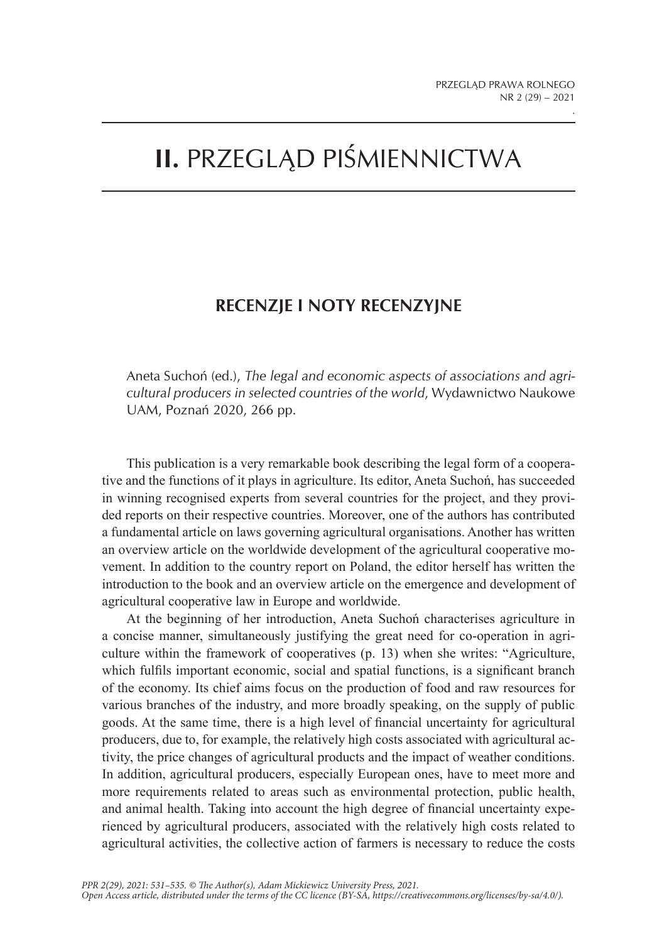.

## **II.** PRZEGLĄD PIŚMIENNICTWA

## **RECENZJE I NOTY RECENZYJNE**

Aneta Suchoń (ed.), *The legal and economic aspects of associations and agricultural producers in selected countries of the world*, Wydawnictwo Naukowe UAM, Poznań 2020, 266 pp.

This publication is a very remarkable book describing the legal form of a cooperative and the functions of it plays in agriculture. Its editor, Aneta Suchoń, has succeeded in winning recognised experts from several countries for the project, and they provided reports on their respective countries. Moreover, one of the authors has contributed a fundamental article on laws governing agricultural organisations. Another has written an overview article on the worldwide development of the agricultural cooperative movement. In addition to the country report on Poland, the editor herself has written the introduction to the book and an overview article on the emergence and development of agricultural cooperative law in Europe and worldwide.

At the beginning of her introduction, Aneta Suchoń characterises agriculture in a concise manner, simultaneously justifying the great need for co-operation in agriculture within the framework of cooperatives (p. 13) when she writes: "Agriculture, which fulfils important economic, social and spatial functions, is a significant branch of the economy. Its chief aims focus on the production of food and raw resources for various branches of the industry, and more broadly speaking, on the supply of public goods. At the same time, there is a high level of financial uncertainty for agricultural producers, due to, for example, the relatively high costs associated with agricultural activity, the price changes of agricultural products and the impact of weather conditions. In addition, agricultural producers, especially European ones, have to meet more and more requirements related to areas such as environmental protection, public health, and animal health. Taking into account the high degree of financial uncertainty experienced by agricultural producers, associated with the relatively high costs related to agricultural activities, the collective action of farmers is necessary to reduce the costs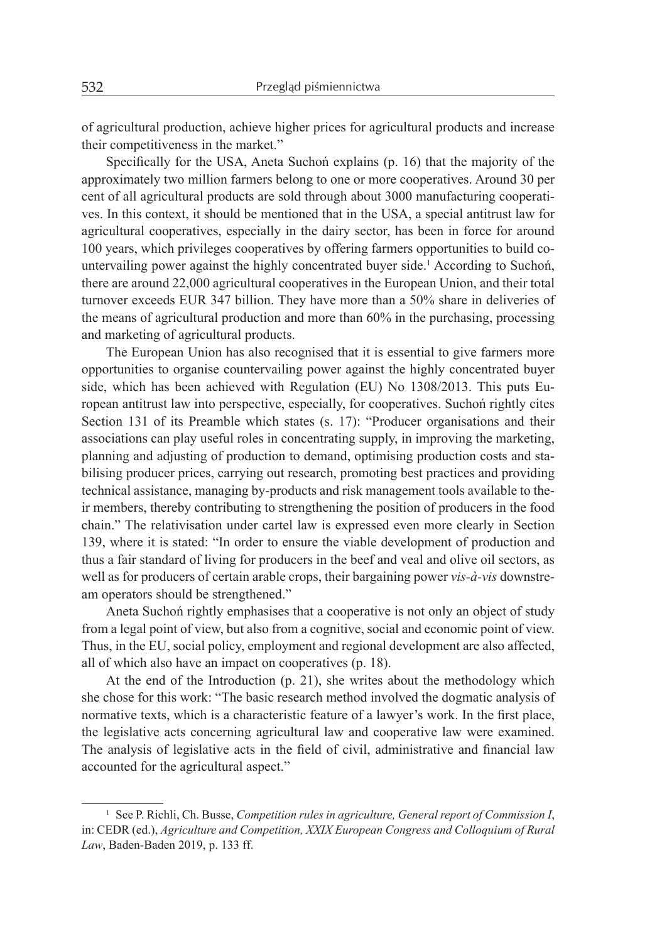of agricultural production, achieve higher prices for agricultural products and increase their competitiveness in the market."

Specifically for the USA, Aneta Suchoń explains (p. 16) that the majority of the approximately two million farmers belong to one or more cooperatives. Around 30 per cent of all agricultural products are sold through about 3000 manufacturing cooperatives. In this context, it should be mentioned that in the USA, a special antitrust law for agricultural cooperatives, especially in the dairy sector, has been in force for around 100 years, which privileges cooperatives by offering farmers opportunities to build countervailing power against the highly concentrated buyer side.<sup>1</sup> According to Suchoń, there are around 22,000 agricultural cooperatives in the European Union, and their total turnover exceeds EUR 347 billion. They have more than a 50% share in deliveries of the means of agricultural production and more than 60% in the purchasing, processing and marketing of agricultural products.

The European Union has also recognised that it is essential to give farmers more opportunities to organise countervailing power against the highly concentrated buyer side, which has been achieved with Regulation (EU) No 1308/2013. This puts European antitrust law into perspective, especially, for cooperatives. Suchoń rightly cites Section 131 of its Preamble which states (s. 17): "Producer organisations and their associations can play useful roles in concentrating supply, in improving the marketing, planning and adjusting of production to demand, optimising production costs and stabilising producer prices, carrying out research, promoting best practices and providing technical assistance, managing by-products and risk management tools available to their members, thereby contributing to strengthening the position of producers in the food chain." The relativisation under cartel law is expressed even more clearly in Section 139, where it is stated: "In order to ensure the viable development of production and thus a fair standard of living for producers in the beef and veal and olive oil sectors, as well as for producers of certain arable crops, their bargaining power *vis-à-vis* downstream operators should be strengthened."

Aneta Suchoń rightly emphasises that a cooperative is not only an object of study from a legal point of view, but also from a cognitive, social and economic point of view. Thus, in the EU, social policy, employment and regional development are also affected, all of which also have an impact on cooperatives (p. 18).

At the end of the Introduction (p. 21), she writes about the methodology which she chose for this work: "The basic research method involved the dogmatic analysis of normative texts, which is a characteristic feature of a lawyer's work. In the first place, the legislative acts concerning agricultural law and cooperative law were examined. The analysis of legislative acts in the field of civil, administrative and financial law accounted for the agricultural aspect."

<sup>&</sup>lt;sup>1</sup> See P. Richli, Ch. Busse, *Competition rules in agriculture, General report of Commission I,* in: CEDR (ed.), *Agriculture and Competition, XXIX European Congress and Colloquium of Rural Law*, Baden-Baden 2019, p. 133 ff.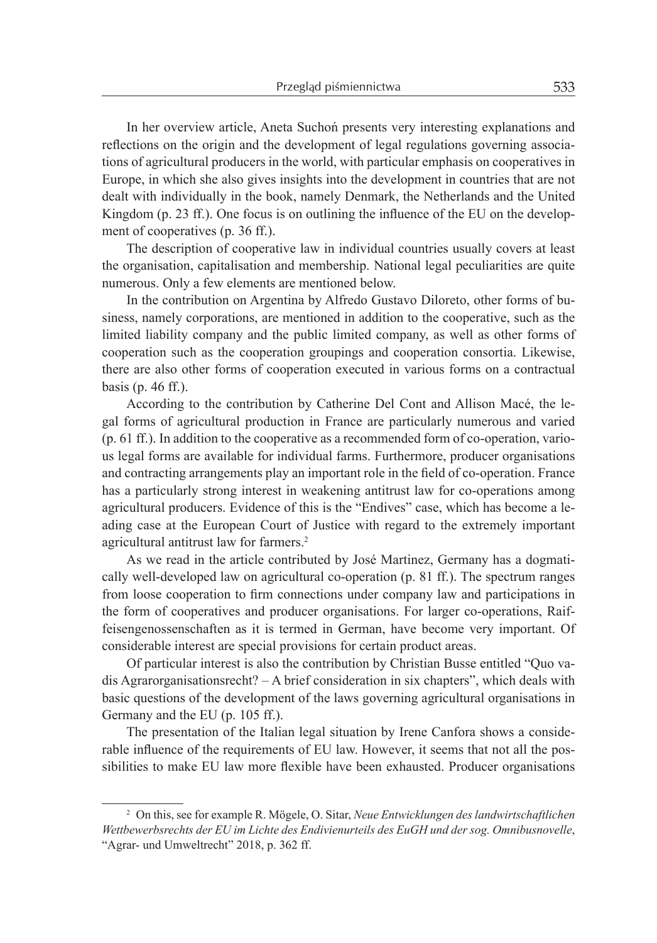In her overview article, Aneta Suchoń presents very interesting explanations and reflections on the origin and the development of legal regulations governing associations of agricultural producers in the world, with particular emphasis on cooperatives in Europe, in which she also gives insights into the development in countries that are not dealt with individually in the book, namely Denmark, the Netherlands and the United Kingdom (p. 23 ff.). One focus is on outlining the influence of the EU on the development of cooperatives (p. 36 ff.).

The description of cooperative law in individual countries usually covers at least the organisation, capitalisation and membership. National legal peculiarities are quite numerous. Only a few elements are mentioned below.

In the contribution on Argentina by Alfredo Gustavo Diloreto, other forms of business, namely corporations, are mentioned in addition to the cooperative, such as the limited liability company and the public limited company, as well as other forms of cooperation such as the cooperation groupings and cooperation consortia. Likewise, there are also other forms of cooperation executed in various forms on a contractual basis (p. 46 ff.).

According to the contribution by Catherine Del Cont and Allison Macé, the legal forms of agricultural production in France are particularly numerous and varied (p. 61 ff.). In addition to the cooperative as a recommended form of co-operation, various legal forms are available for individual farms. Furthermore, producer organisations and contracting arrangements play an important role in the field of co-operation. France has a particularly strong interest in weakening antitrust law for co-operations among agricultural producers. Evidence of this is the "Endives" case, which has become a leading case at the European Court of Justice with regard to the extremely important agricultural antitrust law for farmers.<sup>2</sup>

As we read in the article contributed by José Martinez, Germany has a dogmatically well-developed law on agricultural co-operation (p. 81 ff.). The spectrum ranges from loose cooperation to firm connections under company law and participations in the form of cooperatives and producer organisations. For larger co-operations, Raiffeisengenossenschaften as it is termed in German, have become very important. Of considerable interest are special provisions for certain product areas.

Of particular interest is also the contribution by Christian Busse entitled "Quo vadis Agrarorganisationsrecht? – A brief consideration in six chapters", which deals with basic questions of the development of the laws governing agricultural organisations in Germany and the EU (p. 105 ff.).

The presentation of the Italian legal situation by Irene Canfora shows a considerable influence of the requirements of EU law. However, it seems that not all the possibilities to make EU law more flexible have been exhausted. Producer organisations

<sup>2</sup> On this, see for example R. Mögele, O. Sitar, *Neue Entwicklungen des landwirtschaftlichen Wettbewerbsrechts der EU im Lichte des Endivienurteils des EuGH und der sog. Omnibusnovelle*, "Agrar- und Umweltrecht" 2018, p. 362 ff.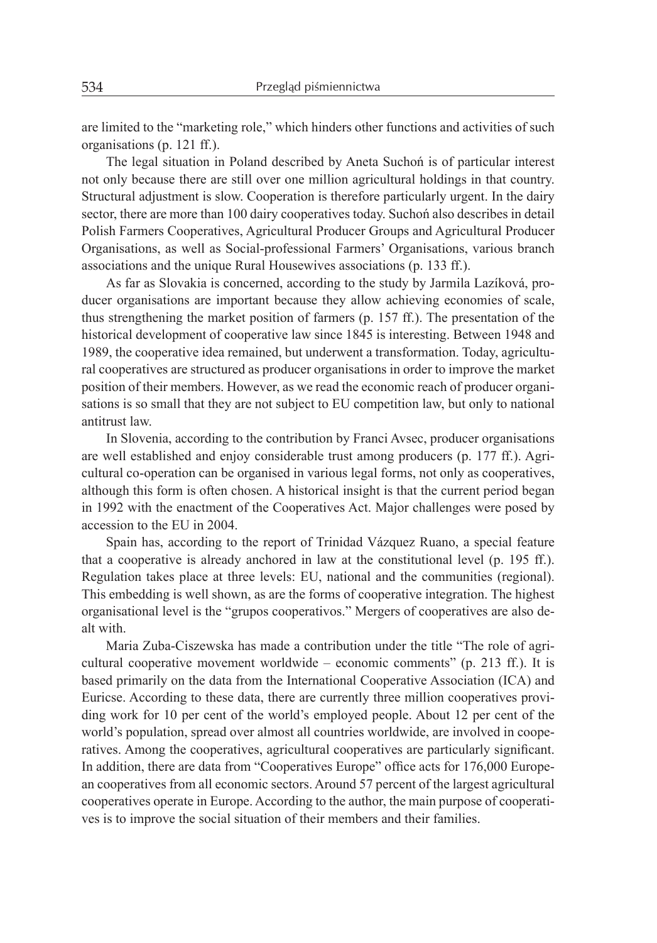are limited to the "marketing role," which hinders other functions and activities of such organisations (p. 121 ff.).

The legal situation in Poland described by Aneta Suchoń is of particular interest not only because there are still over one million agricultural holdings in that country. Structural adjustment is slow. Cooperation is therefore particularly urgent. In the dairy sector, there are more than 100 dairy cooperatives today. Suchoń also describes in detail Polish Farmers Cooperatives, Agricultural Producer Groups and Agricultural Producer Organisations, as well as Social-professional Farmers' Organisations, various branch associations and the unique Rural Housewives associations (p. 133 ff.).

As far as Slovakia is concerned, according to the study by Jarmila Lazíková, producer organisations are important because they allow achieving economies of scale, thus strengthening the market position of farmers (p. 157 ff.). The presentation of the historical development of cooperative law since 1845 is interesting. Between 1948 and 1989, the cooperative idea remained, but underwent a transformation. Today, agricultural cooperatives are structured as producer organisations in order to improve the market position of their members. However, as we read the economic reach of producer organisations is so small that they are not subject to EU competition law, but only to national antitrust law.

In Slovenia, according to the contribution by Franci Avsec, producer organisations are well established and enjoy considerable trust among producers (p. 177 ff.). Agricultural co-operation can be organised in various legal forms, not only as cooperatives, although this form is often chosen. A historical insight is that the current period began in 1992 with the enactment of the Cooperatives Act. Major challenges were posed by accession to the EU in 2004.

Spain has, according to the report of Trinidad Vázquez Ruano, a special feature that a cooperative is already anchored in law at the constitutional level (p. 195 ff.). Regulation takes place at three levels: EU, national and the communities (regional). This embedding is well shown, as are the forms of cooperative integration. The highest organisational level is the "grupos cooperativos." Mergers of cooperatives are also dealt with.

Maria Zuba-Ciszewska has made a contribution under the title "The role of agricultural cooperative movement worldwide – economic comments" (p. 213 ff.). It is based primarily on the data from the International Cooperative Association (ICA) and Euricse. According to these data, there are currently three million cooperatives providing work for 10 per cent of the world's employed people. About 12 per cent of the world's population, spread over almost all countries worldwide, are involved in cooperatives. Among the cooperatives, agricultural cooperatives are particularly significant. In addition, there are data from "Cooperatives Europe" office acts for 176,000 European cooperatives from all economic sectors. Around 57 percent of the largest agricultural cooperatives operate in Europe. According to the author, the main purpose of cooperatives is to improve the social situation of their members and their families.